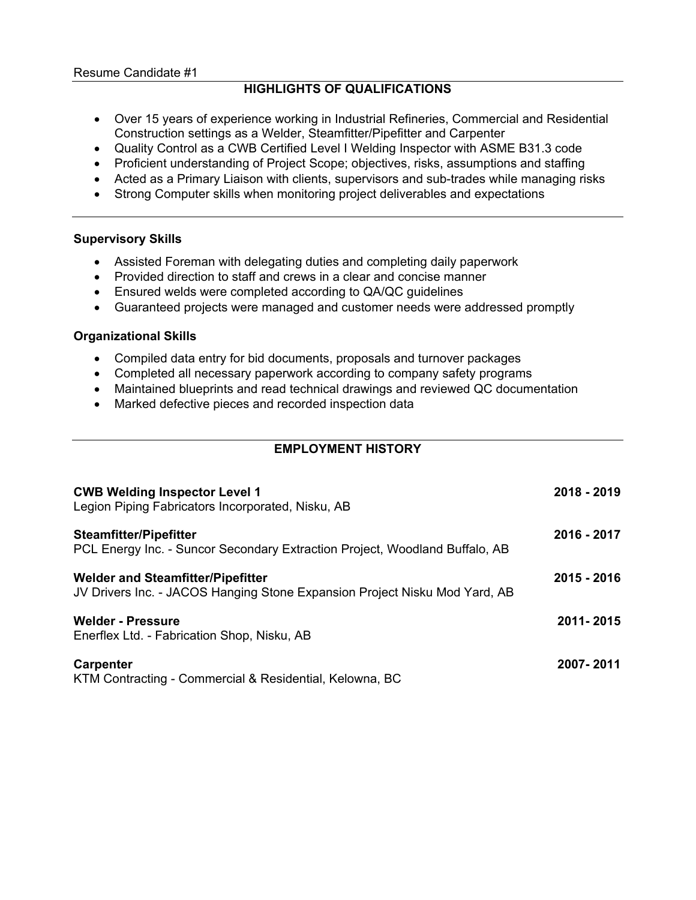### **HIGHLIGHTS OF QUALIFICATIONS**

- Over 15 years of experience working in Industrial Refineries, Commercial and Residential Construction settings as a Welder, Steamfitter/Pipefitter and Carpenter
- Quality Control as a CWB Certified Level I Welding Inspector with ASME B31.3 code
- Proficient understanding of Project Scope; objectives, risks, assumptions and staffing
- Acted as a Primary Liaison with clients, supervisors and sub-trades while managing risks
- Strong Computer skills when monitoring project deliverables and expectations

#### **Supervisory Skills**

- Assisted Foreman with delegating duties and completing daily paperwork
- Provided direction to staff and crews in a clear and concise manner
- Ensured welds were completed according to QA/QC guidelines
- Guaranteed projects were managed and customer needs were addressed promptly

#### **Organizational Skills**

- Compiled data entry for bid documents, proposals and turnover packages
- Completed all necessary paperwork according to company safety programs
- Maintained blueprints and read technical drawings and reviewed QC documentation
- Marked defective pieces and recorded inspection data

## **EMPLOYMENT HISTORY**

| <b>CWB Welding Inspector Level 1</b><br>Legion Piping Fabricators Incorporated, Nisku, AB                              | 2018 - 2019 |
|------------------------------------------------------------------------------------------------------------------------|-------------|
| <b>Steamfitter/Pipefitter</b><br>PCL Energy Inc. - Suncor Secondary Extraction Project, Woodland Buffalo, AB           | 2016 - 2017 |
| <b>Welder and Steamfitter/Pipefitter</b><br>JV Drivers Inc. - JACOS Hanging Stone Expansion Project Nisku Mod Yard, AB | 2015 - 2016 |
| <b>Welder - Pressure</b><br>Enerflex Ltd. - Fabrication Shop, Nisku, AB                                                | 2011-2015   |
| Carpenter<br>KTM Contracting - Commercial & Residential, Kelowna, BC                                                   | 2007-2011   |